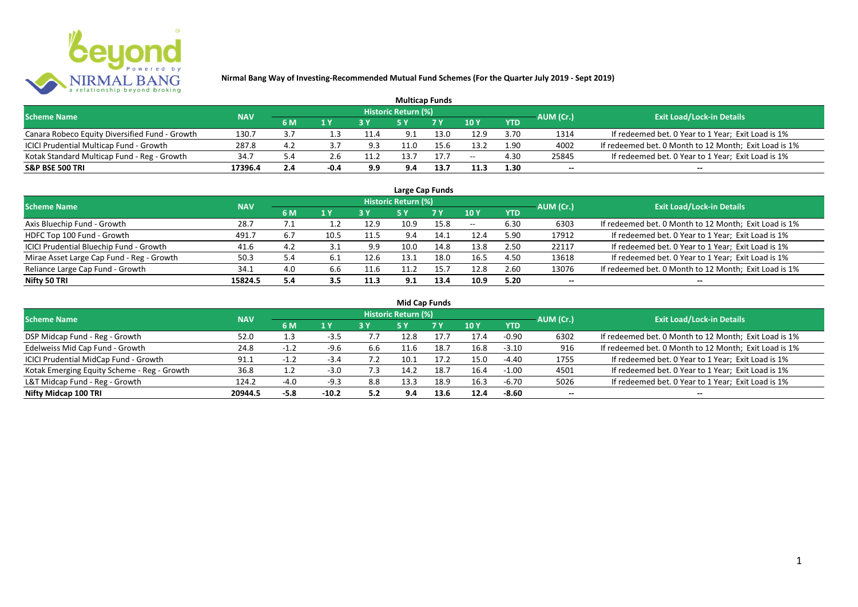

| <b>Multicap Funds</b>                          |            |     |        |      |                     |      |       |            |           |                                                       |  |  |  |
|------------------------------------------------|------------|-----|--------|------|---------------------|------|-------|------------|-----------|-------------------------------------------------------|--|--|--|
| <b>Scheme Name</b>                             | <b>NAV</b> |     |        |      | Historic Return (%) |      |       |            | AUM (Cr.) | <b>Exit Load/Lock-in Details</b>                      |  |  |  |
|                                                |            | 6 M | 1 Y    | 2V   |                     | 7 V  | 10 Y  | <b>YTD</b> |           |                                                       |  |  |  |
| Canara Robeco Equity Diversified Fund - Growth | 130.7      | 3.7 |        | 11.4 | 9.1                 | 13.0 | 12.9  | 3.70       | 1314      | If redeemed bet. 0 Year to 1 Year; Exit Load is 1%    |  |  |  |
| ICICI Prudential Multicap Fund - Growth        | 287.8      | 4.2 |        | 9.3  |                     | 15.6 | 13.2  | 1.90       | 4002      | If redeemed bet. 0 Month to 12 Month; Exit Load is 1% |  |  |  |
| Kotak Standard Multicap Fund - Reg - Growth    | 34.7       | 5.4 | 2.b    | 11.2 | L3.7                |      | $- -$ | 4.30       | 25845     | If redeemed bet. 0 Year to 1 Year; Exit Load is 1%    |  |  |  |
| <b>S&amp;P BSE 500 TRI</b>                     | 17396.4    | 2.4 | $-0.4$ | 9.9  | 9.4                 | 13.7 | 11.3  | 1.30       | $- -$     | $- -$                                                 |  |  |  |

| Large Cap Funds                           |            |      |      |      |                            |      |       |            |           |                                                       |  |  |  |  |
|-------------------------------------------|------------|------|------|------|----------------------------|------|-------|------------|-----------|-------------------------------------------------------|--|--|--|--|
| <b>Scheme Name</b>                        | <b>NAV</b> |      |      |      | <b>Historic Return (%)</b> |      |       |            | AUM (Cr.) | <b>Exit Load/Lock-in Details</b>                      |  |  |  |  |
|                                           |            | 6 M  | 1 Y  |      | <b>5Y</b>                  | 7 Y  | 10Y   | <b>YTD</b> |           |                                                       |  |  |  |  |
| Axis Bluechip Fund - Growth               | 28.7       | 7. 1 |      | 12.9 | 10.9                       | 15.8 | $- -$ | 6.30       | 6303      | If redeemed bet. 0 Month to 12 Month; Exit Load is 1% |  |  |  |  |
| HDFC Top 100 Fund - Growth                | 491.7      | 6.7  | 10.5 | 11.5 | 9.4                        | 14.1 | 12.4  | 5.90       | 17912     | If redeemed bet. 0 Year to 1 Year; Exit Load is 1%    |  |  |  |  |
| ICICI Prudential Bluechip Fund - Growth   | 41.6       | 4.2  | 3.1  | 9.9  | 10.0                       | 14.8 | 13.8  | 2.50       | 22117     | If redeemed bet. 0 Year to 1 Year; Exit Load is 1%    |  |  |  |  |
| Mirae Asset Large Cap Fund - Reg - Growth | 50.3       | 5.4  | 6.1  | 12.6 | 13.1                       | 18.0 | 16.5  | 4.50       | 13618     | If redeemed bet. 0 Year to 1 Year; Exit Load is 1%    |  |  |  |  |
| Reliance Large Cap Fund - Growth          | 34.1       | 4.0  | 6.6  | 11.6 | 11.2                       | 15.7 | 12.8  | 2.60       | 13076     | If redeemed bet. 0 Month to 12 Month; Exit Load is 1% |  |  |  |  |
| Nifty 50 TRI                              | 15824.5    | 5.4  | 3.5  | 11.3 | 9.1                        | 13.4 | 10.9  | 5.20       |           | --                                                    |  |  |  |  |

| <b>Mid Cap Funds</b>                        |            |         |         |     |                     |           |      |            |                          |                                                       |  |  |  |  |
|---------------------------------------------|------------|---------|---------|-----|---------------------|-----------|------|------------|--------------------------|-------------------------------------------------------|--|--|--|--|
| <b>Scheme Name</b>                          | <b>NAV</b> |         |         |     | Historic Return (%) |           |      |            | AUM (Cr.)                | <b>Exit Load/Lock-in Details</b>                      |  |  |  |  |
|                                             |            | 6 M     | 1 Y     |     | 5 Y                 | <b>7Y</b> | 10Y  | <b>YTD</b> |                          |                                                       |  |  |  |  |
| DSP Midcap Fund - Reg - Growth              | 52.0       |         | $-3.5$  |     | 12.8                | 17.7      | 17.4 | -0.90      | 6302                     | If redeemed bet. 0 Month to 12 Month; Exit Load is 1% |  |  |  |  |
| Edelweiss Mid Cap Fund - Growth             | 24.8       | $-1.4$  | $-9.6$  | b.b | 11.6                | 18.7      | 16.8 | $-3.10$    | 916                      | If redeemed bet. 0 Month to 12 Month; Exit Load is 1% |  |  |  |  |
| ICICI Prudential MidCap Fund - Growth       | 91.1       | $-1, 2$ | $-3.4$  |     | 10.1                | 17.2      | 15.0 | -4.40      | 1755                     | If redeemed bet. 0 Year to 1 Year; Exit Load is 1%    |  |  |  |  |
| Kotak Emerging Equity Scheme - Reg - Growth | 36.8       | 1.2     | $-3.0$  | 7.3 | 14.2                | 18.7      | 16.4 | $-1.00$    | 4501                     | If redeemed bet. 0 Year to 1 Year; Exit Load is 1%    |  |  |  |  |
| L&T Midcap Fund - Reg - Growth              | 124.2      | $-4.0$  | $-9.3$  | 8.8 | 13.3                | 18.9      | 16.3 | -6.70      | 5026                     | If redeemed bet. 0 Year to 1 Year; Exit Load is 1%    |  |  |  |  |
| Nifty Midcap 100 TRI                        | 20944.5    | $-5.8$  | $-10.2$ | 5.2 | 9.4                 | 13.6      | 12.4 | $-8.60$    | $\overline{\phantom{a}}$ | $- -$                                                 |  |  |  |  |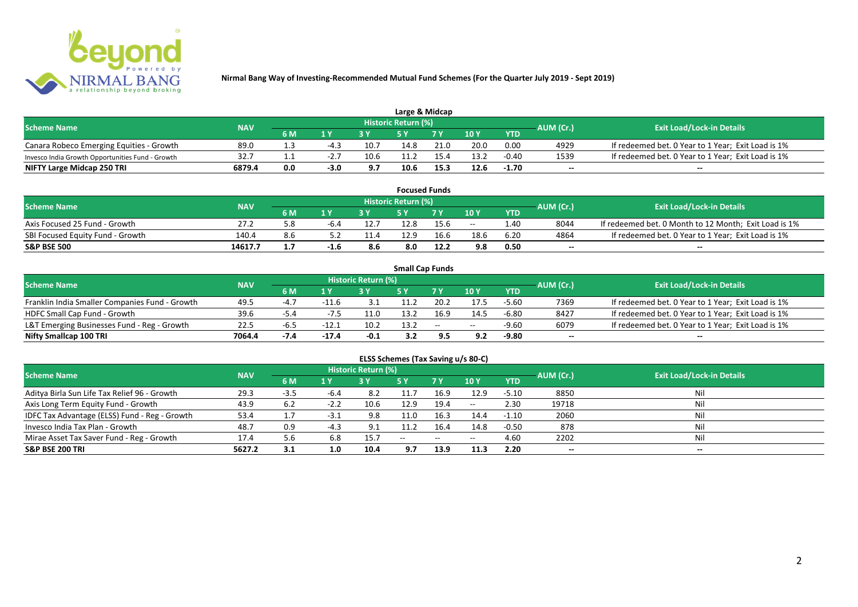

| Large & Midcap                                   |            |           |                |      |                            |      |      |            |           |                                                    |  |  |  |
|--------------------------------------------------|------------|-----------|----------------|------|----------------------------|------|------|------------|-----------|----------------------------------------------------|--|--|--|
| <b>Scheme Name</b>                               | <b>NAV</b> |           |                |      | <b>Historic Return (%)</b> |      |      |            | AUM (Cr.) | <b>Exit Load/Lock-in Details</b>                   |  |  |  |
|                                                  |            | <b>6M</b> | 1 <sub>N</sub> |      |                            | 7 V  | 10Y  | <b>YTD</b> |           |                                                    |  |  |  |
| Canara Robeco Emerging Equities - Growth         | 89.C       |           | $-4.7$         | 10.7 | 14.8                       | 21.0 | 20.0 | 0.00       | 4929      | If redeemed bet. 0 Year to 1 Year; Exit Load is 1% |  |  |  |
| Invesco India Growth Opportunities Fund - Growth | 32.7       |           |                | 10.6 |                            | 15.4 | 13.2 | $-0.40$    | 1539      | If redeemed bet. 0 Year to 1 Year; Exit Load is 1% |  |  |  |
| NIFTY Large Midcap 250 TRI                       | 6879.4     | 0.0       | $-3.0$         | 9.7  | 10.6                       | 15.3 | 12.6 | $-1.70$    | $- -$     | $- -$                                              |  |  |  |

| <b>Focused Funds</b>             |            |     |        |      |                     |      |       |            |           |                                                       |  |  |  |
|----------------------------------|------------|-----|--------|------|---------------------|------|-------|------------|-----------|-------------------------------------------------------|--|--|--|
| <b>Scheme Name</b>               | <b>NAV</b> |     |        |      | Historic Return (%) |      |       |            | AUM (Cr.) | <b>Exit Load/Lock-in Details</b>                      |  |  |  |
|                                  |            | 6 M | 1 V    |      | cν                  | 7 V  | 10 Y  | <b>YTD</b> |           |                                                       |  |  |  |
| Axis Focused 25 Fund - Growth    | 27.2       | o.c | $-6.4$ | 12.7 | 12.8                | 15.6 | $- -$ | 1.40       | 8044      | If redeemed bet. 0 Month to 12 Month; Exit Load is 1% |  |  |  |
| SBI Focused Equity Fund - Growth | 140.4      | 8.6 |        | 11.4 | 12.9                | 16.6 | 18.6  | 6.20       | 4864      | If redeemed bet. 0 Year to 1 Year; Exit Load is 1%    |  |  |  |
| <b>S&amp;P BSE 500</b>           | 14617.7    |     | -1.6   | 8.6  | 8.0                 | 12.2 | 9.8   | 0.50       | $- -$     | $- -$                                                 |  |  |  |

| <b>Small Cap Funds</b>                         |            |        |                         |                     |      |        |       |            |                          |                                                    |  |  |  |
|------------------------------------------------|------------|--------|-------------------------|---------------------|------|--------|-------|------------|--------------------------|----------------------------------------------------|--|--|--|
| <b>Scheme Name</b>                             | <b>NAV</b> |        |                         | Historic Return (%) |      |        |       |            | AUM (Cr.)                | <b>Exit Load/Lock-in Details</b>                   |  |  |  |
|                                                |            | 6 M    | $\mathbf{1} \mathbf{V}$ |                     |      | 7 V    | 10Y   | <b>YTD</b> |                          |                                                    |  |  |  |
| Franklin India Smaller Companies Fund - Growth | 49.5       | $-4.7$ | $-11.6$                 | 3.1                 | 1.2  | 20.2   | 17.5  | $-5.60$    | 7369                     | If redeemed bet. 0 Year to 1 Year; Exit Load is 1% |  |  |  |
| HDFC Small Cap Fund - Growth                   | 39.6       | $-5.4$ |                         | 11.0                | 13.2 | 16.9   | 14.5  | $-6.80$    | 8427                     | If redeemed bet. 0 Year to 1 Year; Exit Load is 1% |  |  |  |
| L&T Emerging Businesses Fund - Reg - Growth    | 22.5       | -ხ.ა   | $-12.1$                 | 10.2                | 13.2 | $\sim$ | $- -$ | $-9.60$    | 6079                     | If redeemed bet. 0 Year to 1 Year; Exit Load is 1% |  |  |  |
| Nifty Smallcap 100 TRI                         | 7064.4     | $-7.4$ | $-17.4$                 | $-0.1$              | 3.2  | 9.5    | 9.2   | $-9.80$    | $\overline{\phantom{a}}$ | --                                                 |  |  |  |

# **ELSS Schemes (Tax Saving u/s 80-C)**

| <b>Scheme Name</b>                            | <b>NAV</b> |      |        | <b>Historic Return (%)</b> |            |            |               |            | AUM (Cr.) | Exit Load/Lock-in Details |
|-----------------------------------------------|------------|------|--------|----------------------------|------------|------------|---------------|------------|-----------|---------------------------|
|                                               |            | 6 M  | 1 Y    |                            | <b>5 Y</b> | <b>7 Y</b> | 10Y           | <b>YTD</b> |           |                           |
| Aditya Birla Sun Life Tax Relief 96 - Growth  | 29.3       | -3.5 | -6.4   | -8.2                       | 11.7       | 16.9       | 12.9          | $-5.10$    | 8850      | Nil                       |
| Axis Long Term Equity Fund - Growth           | 43.9       | 6.2  | $-2.2$ | 10.6                       | 12.9       | 19.4       | $\sim$ $\sim$ | 2.30       | 19718     | Nil                       |
| IDFC Tax Advantage (ELSS) Fund - Reg - Growth | 53.4       |      | -3.1   | 9.8                        | 11.0       | 16.3       | 14.4          | $-1.10$    | 2060      | Nil                       |
| Invesco India Tax Plan - Growth               | 48.7       | 0.9  | $-4.3$ | 9.1                        | 11.2       | 16.4       | 14.8          | $-0.50$    | 878       | Nil                       |
| Mirae Asset Tax Saver Fund - Reg - Growth     | 17.4       | 5.6  | 6.8    | 15.7                       | $- -$      | $- -$      | $- -$         | 4.60       | 2202      | Nil                       |
| <b>S&amp;P BSE 200 TRI</b>                    | 5627.2     | 3.1  | 1.0    | 10.4                       | 9.7        | 13.9       | 11.3          | 2.20       | $- -$     | $- -$                     |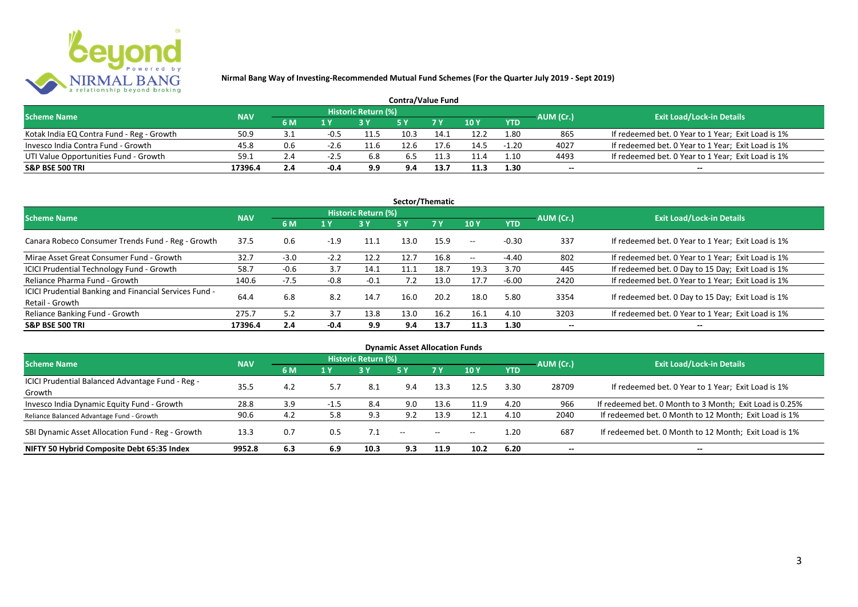

| <b>Contra/Value Fund</b>                  |            |           |      |                     |      |      |      |            |           |                                                    |  |  |  |
|-------------------------------------------|------------|-----------|------|---------------------|------|------|------|------------|-----------|----------------------------------------------------|--|--|--|
| <b>Scheme Name</b>                        | <b>NAV</b> |           |      | Historic Return (%) |      |      |      |            | AUM (Cr.) | <b>Exit Load/Lock-in Details</b>                   |  |  |  |
|                                           |            | <b>6M</b> | 1 Y  |                     |      | 7 Y  | 10Y  | <b>YTD</b> |           |                                                    |  |  |  |
| Kotak India EQ Contra Fund - Reg - Growth | 50.9       | 3.1       | -0.5 | 11.5                | 10.3 | 14.1 | 12.2 | 1.80       | 865       | If redeemed bet. 0 Year to 1 Year; Exit Load is 1% |  |  |  |
| Invesco India Contra Fund - Growth        | 45.8       | 0.6       | -2.b | 11.b                | 12.6 |      | 14.5 | $-1.20$    | 4027      | If redeemed bet. 0 Year to 1 Year; Exit Load is 1% |  |  |  |
| UTI Value Opportunities Fund - Growth     | 59.1       | 2.4       | -2.5 | 6.8                 | 6.5  | .1.3 | 11.4 | 1.10       | 4493      | If redeemed bet. 0 Year to 1 Year; Exit Load is 1% |  |  |  |
| <b>S&amp;P BSE 500 TRI</b>                | 17396.4    | 2.4       | -0.4 | 9.9                 | 9.4  | 13.7 | 11.3 | 1.30       | --        | $- -$                                              |  |  |  |

| Sector/Thematic                                                           |            |        |        |                            |           |           |         |            |           |                                                    |  |  |  |
|---------------------------------------------------------------------------|------------|--------|--------|----------------------------|-----------|-----------|---------|------------|-----------|----------------------------------------------------|--|--|--|
| <b>Scheme Name</b>                                                        | <b>NAV</b> |        |        | <b>Historic Return (%)</b> |           |           |         |            | AUM (Cr.) | <b>Exit Load/Lock-in Details</b>                   |  |  |  |
|                                                                           |            | 6 M    | 1 Y    | 3Y                         | <b>5Y</b> | <b>7Y</b> | 10Y     | <b>YTD</b> |           |                                                    |  |  |  |
| Canara Robeco Consumer Trends Fund - Reg - Growth                         | 37.5       | 0.6    | $-1.9$ | 11.1                       | 13.0      | 15.9      | $- -$ . | $-0.30$    | 337       | If redeemed bet. 0 Year to 1 Year; Exit Load is 1% |  |  |  |
| Mirae Asset Great Consumer Fund - Growth                                  | 32.7       | -3.0   | $-2.2$ | 12.2                       | 12.7      | 16.8      | $- -$   | -4.40      | 802       | If redeemed bet. 0 Year to 1 Year; Exit Load is 1% |  |  |  |
| <b>ICICI Prudential Technology Fund - Growth</b>                          | 58.7       | $-0.6$ | 3.7    | 14.1                       | 11.1      | 18.7      | 19.3    | 3.70       | 445       | If redeemed bet. 0 Day to 15 Day; Exit Load is 1%  |  |  |  |
| Reliance Pharma Fund - Growth                                             | 140.6      | $-7.5$ | $-0.8$ | $-0.1$                     | 7.2       | 13.0      | 17.7    | $-6.00$    | 2420      | If redeemed bet. 0 Year to 1 Year; Exit Load is 1% |  |  |  |
| ICICI Prudential Banking and Financial Services Fund -<br>Retail - Growth | 64.4       | 6.8    | 8.2    | 14.7                       | 16.0      | 20.2      | 18.0    | 5.80       | 3354      | If redeemed bet. 0 Day to 15 Day; Exit Load is 1%  |  |  |  |
| Reliance Banking Fund - Growth                                            | 275.7      | 5.2    | 3.7    | 13.8                       | 13.0      | 16.2      | 16.1    | 4.10       | 3203      | If redeemed bet. 0 Year to 1 Year; Exit Load is 1% |  |  |  |
| <b>S&amp;P BSE 500 TRI</b>                                                | 17396.4    | 2.4    | -0.4   | 9.9                        | 9.4       | 13.7      | 11.3    | 1.30       |           | --                                                 |  |  |  |

| <b>Dynamic Asset Allocation Funds</b>                      |            |     |      |                            |            |               |            |            |                          |                                                         |  |  |  |
|------------------------------------------------------------|------------|-----|------|----------------------------|------------|---------------|------------|------------|--------------------------|---------------------------------------------------------|--|--|--|
| <b>Scheme Name</b>                                         | <b>NAV</b> |     |      | <b>Historic Return (%)</b> |            |               |            |            | AUM (Cr.)                | <b>Exit Load/Lock-in Details</b>                        |  |  |  |
|                                                            |            | 6 M | 1Y   | <b>3Y</b>                  | <b>5 Y</b> | 7 Y           | <b>10Y</b> | <b>YTD</b> |                          |                                                         |  |  |  |
| ICICI Prudential Balanced Advantage Fund - Reg -<br>Growth | 35.5       | 4.2 |      | 8.1                        | 9.4        | 13.3          | 12.5       | 3.30       | 28709                    | If redeemed bet. 0 Year to 1 Year; Exit Load is 1%      |  |  |  |
| Invesco India Dynamic Equity Fund - Growth                 | 28.8       | 3.9 | -1.5 | -8.4                       | 9.0        | 13.6          | 11.9       | 4.20       | 966                      | If redeemed bet. 0 Month to 3 Month; Exit Load is 0.25% |  |  |  |
| Reliance Balanced Advantage Fund - Growth                  | 90.6       | 4.2 | 5.8  | 9.3                        | 9.2        | 13.9          | 12.1       | 4.10       | 2040                     | If redeemed bet. 0 Month to 12 Month; Exit Load is 1%   |  |  |  |
| SBI Dynamic Asset Allocation Fund - Reg - Growth           | 13.3       | 0.7 | 0.5  |                            | $- -$      | $\sim$ $\sim$ | $- -$      | 1.20       | 687                      | If redeemed bet. 0 Month to 12 Month; Exit Load is 1%   |  |  |  |
| NIFTY 50 Hybrid Composite Debt 65:35 Index                 | 9952.8     | 6.3 | 6.9  | 10.3                       | 9.3        | 11.9          | 10.2       | 6.20       | $\overline{\phantom{a}}$ | $- -$                                                   |  |  |  |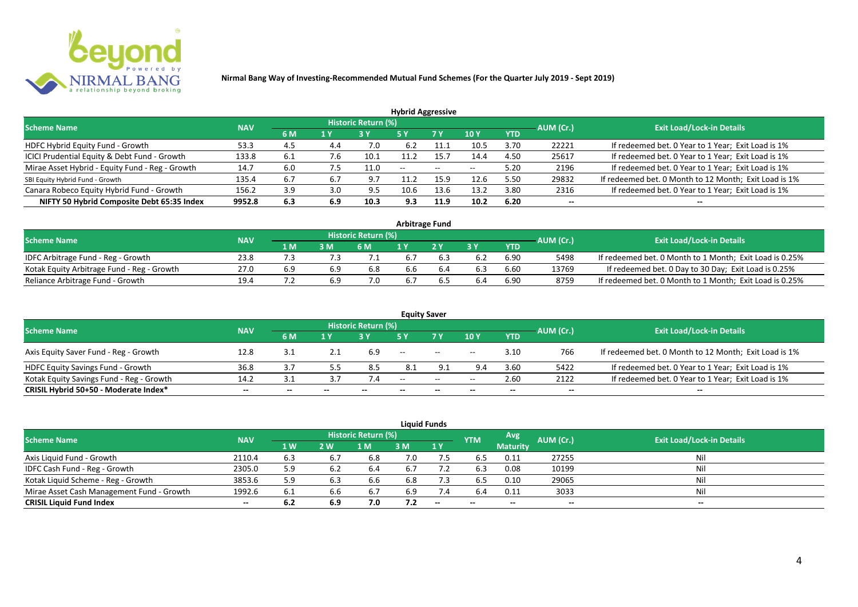

| <b>Hybrid Aggressive</b>                        |            |     |     |                            |                          |                          |                          |            |           |                                                       |  |  |  |  |
|-------------------------------------------------|------------|-----|-----|----------------------------|--------------------------|--------------------------|--------------------------|------------|-----------|-------------------------------------------------------|--|--|--|--|
| <b>Scheme Name</b>                              | <b>NAV</b> |     |     | <b>Historic Return (%)</b> |                          |                          |                          |            | AUM (Cr.) | <b>Exit Load/Lock-in Details</b>                      |  |  |  |  |
|                                                 |            | 6 M | 1 Y |                            | 5 Y                      | 7 Y                      | 10Y                      | <b>YTD</b> |           |                                                       |  |  |  |  |
| HDFC Hybrid Equity Fund - Growth                | 53.3       | 4.5 | 4.4 | 7.0                        | 6.2                      |                          | 10.5                     | 3.70       | 22221     | If redeemed bet. 0 Year to 1 Year; Exit Load is 1%    |  |  |  |  |
| ICICI Prudential Equity & Debt Fund - Growth    | 133.8      | 6.1 | 7.b | 10.1                       | 11.2                     | 15.7                     | 14.4                     | 4.50       | 25617     | If redeemed bet. 0 Year to 1 Year; Exit Load is 1%    |  |  |  |  |
| Mirae Asset Hybrid - Equity Fund - Reg - Growth | 14.7       | 6.0 | 7.5 | 11.0                       | $\overline{\phantom{a}}$ | $\overline{\phantom{m}}$ | $\overline{\phantom{a}}$ | 5.20       | 2196      | If redeemed bet. 0 Year to 1 Year; Exit Load is 1%    |  |  |  |  |
| SBI Equity Hybrid Fund - Growth                 | 135.4      | 6.7 | 6.7 | 9.7                        |                          | 15.9                     | 12.6                     | 5.50       | 29832     | If redeemed bet. 0 Month to 12 Month; Exit Load is 1% |  |  |  |  |
| Canara Robeco Equity Hybrid Fund - Growth       | 156.2      | 3.9 |     | 9.5                        | 10.6                     | 13.6                     | 13.2                     | 3.80       | 2316      | If redeemed bet. 0 Year to 1 Year; Exit Load is 1%    |  |  |  |  |
| NIFTY 50 Hybrid Composite Debt 65:35 Index      | 9952.8     | 6.3 | 6.9 | 10.3                       | 9.3                      | 11.9                     | 10.2                     | 6.20       | $- -$     | $- -$                                                 |  |  |  |  |

| <b>Arbitrage Fund</b>                      |            |     |     |                            |     |  |     |      |           |                                                         |  |  |  |
|--------------------------------------------|------------|-----|-----|----------------------------|-----|--|-----|------|-----------|---------------------------------------------------------|--|--|--|
| <b>Scheme Name</b>                         | <b>NAV</b> |     |     | <b>Historic Return (%)</b> |     |  |     |      | AUM (Cr.) | <b>Exit Load/Lock-in Details</b>                        |  |  |  |
|                                            |            | 1 M | 3 M | 6 M                        |     |  | 2 V | YTD  |           |                                                         |  |  |  |
| IDFC Arbitrage Fund - Reg - Growth         | 23.8       |     |     |                            | 6.7 |  |     | 6.90 | 5498      | If redeemed bet. 0 Month to 1 Month; Exit Load is 0.25% |  |  |  |
| Kotak Equity Arbitrage Fund - Reg - Growth | 27.0       | 6.9 | 6.9 | 6.8                        | 6.6 |  |     | 6.60 | 13769     | If redeemed bet. 0 Day to 30 Day; Exit Load is 0.25%    |  |  |  |
| Reliance Arbitrage Fund - Growth           | 19.4       |     | 6.9 |                            | 6.7 |  |     | 6.90 | 8759      | If redeemed bet. 0 Month to 1 Month; Exit Load is 0.25% |  |  |  |

|                                          |            |       |       |                     |       | <b>Equity Saver</b>                            |       |            |           |                                                       |
|------------------------------------------|------------|-------|-------|---------------------|-------|------------------------------------------------|-------|------------|-----------|-------------------------------------------------------|
| <b>Scheme Name</b>                       | <b>NAV</b> |       |       | Historic Return (%) |       |                                                |       |            |           | <b>Exit Load/Lock-in Details</b>                      |
|                                          |            | 6 M   | 1 V   |                     |       | 7 <sub>V</sub>                                 | 10Y   | <b>YTD</b> | AUM (Cr.) |                                                       |
| Axis Equity Saver Fund - Reg - Growth    | 12.8       | 3.1   |       | 6.9                 | $- -$ | $\hspace{0.1mm}-\hspace{0.1mm}-\hspace{0.1mm}$ | $- -$ | 3.10       | 766       | If redeemed bet. 0 Month to 12 Month; Exit Load is 1% |
| <b>HDFC Equity Savings Fund - Growth</b> | 36.8       |       |       | 8.5                 | 8.1   |                                                | 9.4   | 3.60       | 5422      | If redeemed bet. 0 Year to 1 Year; Exit Load is 1%    |
| Kotak Equity Savings Fund - Reg - Growth | 14.2       | 3.1   |       |                     | $-$   | $\sim$                                         | $- -$ | 2.60       | 2122      | If redeemed bet. 0 Year to 1 Year; Exit Load is 1%    |
| CRISIL Hybrid 50+50 - Moderate Index*    | $- -$      | $- -$ | $- -$ |                     | --    | $- -$                                          |       | $- -$      | $- -$     | $- -$                                                 |

|                                           |                                  |     |     |     |     | <b>Liquid Funds</b> |            |                 |           |       |
|-------------------------------------------|----------------------------------|-----|-----|-----|-----|---------------------|------------|-----------------|-----------|-------|
| <b>Scheme Name</b>                        | <b>Exit Load/Lock-in Details</b> |     |     |     |     |                     |            |                 |           |       |
|                                           | <b>NAV</b>                       | 1 W | 2 W | 1 M | 3 M | 1Y                  | <b>YTM</b> | <b>Maturity</b> | AUM (Cr.) |       |
| Axis Liquid Fund - Growth                 | 2110.4                           | 6.3 | 6.7 | 6.8 | 7.0 |                     | b.5        | 0.11            | 27255     | Nil   |
| IDFC Cash Fund - Reg - Growth             | 2305.0                           | 5.9 | 6.2 | 6.4 | 6.7 |                     | 6.3        | 0.08            | 10199     | Nil   |
| Kotak Liquid Scheme - Reg - Growth        | 3853.6                           | 5.9 | 6.3 | 6.6 | 6.8 | 7.3                 | 6.5        | 0.10            | 29065     | Nil   |
| Mirae Asset Cash Management Fund - Growth | 1992.6                           | 6.1 | 6.6 | 6.7 | 6.9 | 7.4                 | 6.4        | 0.11            | 3033      | Nil   |
| <b>CRISIL Liquid Fund Index</b>           | $- -$                            | 6.2 | 6.9 | 7.0 | 7.2 | $- -$               | $- -$      | $-$             | $- -$     | $- -$ |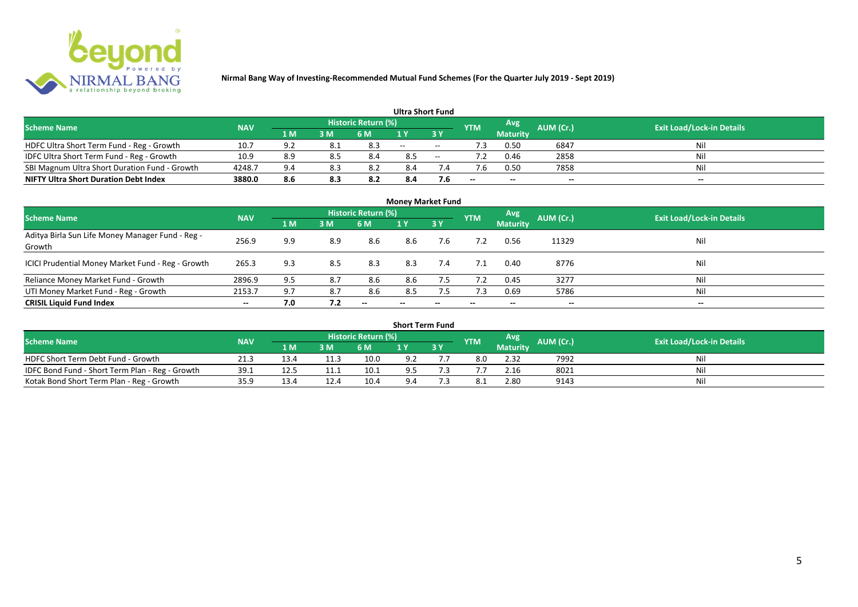

|                                               |            |            |     |                            | <b>Ultra Short Fund</b> |        |            |                 |           |                                  |
|-----------------------------------------------|------------|------------|-----|----------------------------|-------------------------|--------|------------|-----------------|-----------|----------------------------------|
| <b>Scheme Name</b>                            | <b>NAV</b> |            |     | <b>Historic Return (%)</b> |                         |        | <b>YTM</b> | Avg             | AUM (Cr.) | <b>Exit Load/Lock-in Details</b> |
|                                               |            | 1 M        | 3 M | 6 M                        | 1 Y                     |        |            | <b>Maturity</b> |           |                                  |
| HDFC Ultra Short Term Fund - Reg - Growth     | 10.7       | <b>Q</b> 2 | 8.1 | 8.3                        | $\sim$                  | $\sim$ | ٠3         | 0.50            | 6847      | Nil                              |
| IDFC Ultra Short Term Fund - Reg - Growth     | 10.9       | 8.9        |     | 8.4                        | 8.5                     | $\sim$ |            | 0.46            | 2858      | Nil                              |
| SBI Magnum Ultra Short Duration Fund - Growth | 4248.7     | 9.4        | 8.3 |                            | 8.4                     |        |            | 0.50            | 7858      | Nil                              |
| <b>NIFTY Ultra Short Duration Debt Index</b>  | 3880.0     | 8.6        | 8.3 | 8.2                        | 8.4                     | 7.6    | $- -$      | $- -$           | $- -$     | $- -$                            |

| <b>Money Market Fund</b>                                   |            |     |     |                     |       |                          |            |                 |           |                                  |  |  |  |  |
|------------------------------------------------------------|------------|-----|-----|---------------------|-------|--------------------------|------------|-----------------|-----------|----------------------------------|--|--|--|--|
| <b>Scheme Name</b>                                         | <b>NAV</b> |     |     | Historic Return (%) |       |                          | <b>YTM</b> | Avg             | AUM (Cr.) | <b>Exit Load/Lock-in Details</b> |  |  |  |  |
|                                                            |            | 1 M | 3M  | 6 M                 | 1Y    | 3Y                       |            | <b>Maturity</b> |           |                                  |  |  |  |  |
| Aditya Birla Sun Life Money Manager Fund - Reg -<br>Growth | 256.9      | 9.9 | 8.9 | 8.6                 | 8.6   | 7.6                      |            | 0.56            | 11329     | Nil                              |  |  |  |  |
| ICICI Prudential Money Market Fund - Reg - Growth          | 265.3      | 9.3 | 8.5 | 8.3                 | 8.3   | 7.4                      |            | 0.40            | 8776      | Nil                              |  |  |  |  |
| Reliance Money Market Fund - Growth                        | 2896.9     | 9.5 | 8.7 | 8.6                 | 8.6   | 7.5                      |            | 0.45            | 3277      | Nil                              |  |  |  |  |
| UTI Money Market Fund - Reg - Growth                       | 2153.7     | 9.7 | 8.7 | 8.6                 | 8.5   | 7.5                      | 7.3        | 0.69            | 5786      | Nil                              |  |  |  |  |
| <b>CRISIL Liquid Fund Index</b>                            | $- -$      | 7.0 | 7.2 | $- -$               | $- -$ | $\overline{\phantom{a}}$ | $- -$      | $- -$           | $- -$     | $\overline{\phantom{a}}$         |  |  |  |  |

| <b>Short Term Fund</b>                          |            |      |     |                            |     |           |            |                 |           |                                  |  |  |  |  |
|-------------------------------------------------|------------|------|-----|----------------------------|-----|-----------|------------|-----------------|-----------|----------------------------------|--|--|--|--|
| <b>Scheme Name</b>                              | <b>NAV</b> |      |     | <b>Historic Return (%)</b> |     |           | <b>YTM</b> | Avg             | AUM (Cr.) | <b>Exit Load/Lock-in Details</b> |  |  |  |  |
|                                                 |            | 1 M' | 3 M | 6 M                        | 1 Y | <b>3Y</b> |            | <b>Maturity</b> |           |                                  |  |  |  |  |
| HDFC Short Term Debt Fund - Growth              | 21.3       | 13.4 |     | 10.0                       | 9.2 |           | 8.0        | 2.32            | 7992      | Nil                              |  |  |  |  |
| IDFC Bond Fund - Short Term Plan - Reg - Growth | 39.1       | 12.5 |     | 10.1                       | 9.5 |           |            | 2.16            | 8021      | Nil                              |  |  |  |  |
| Kotak Bond Short Term Plan - Reg - Growth       | 35.9       | 13.4 |     | 10.4                       | 9.4 |           |            | 2.80            | 9143      | Nil                              |  |  |  |  |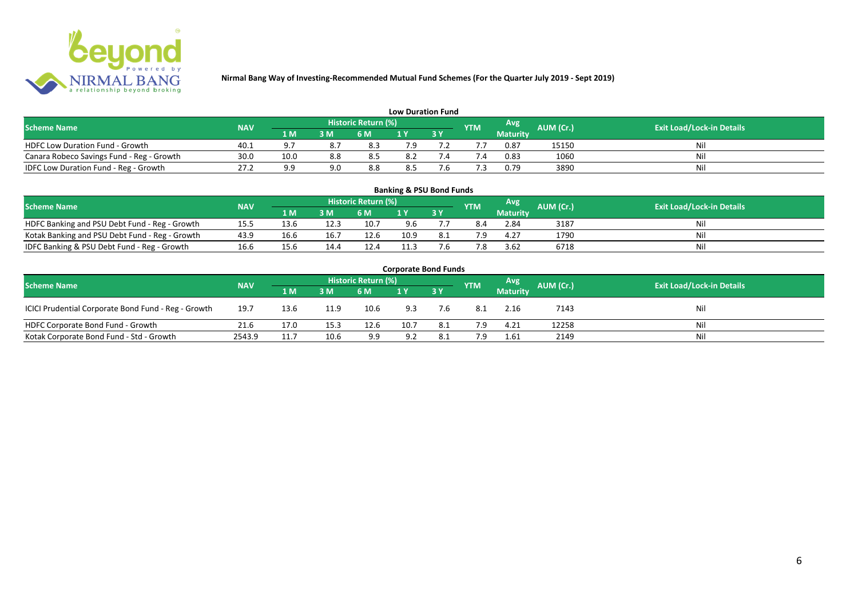

| <b>Low Duration Fund</b>                  |            |      |     |                            |     |  |            |                 |                  |                                  |  |  |  |  |
|-------------------------------------------|------------|------|-----|----------------------------|-----|--|------------|-----------------|------------------|----------------------------------|--|--|--|--|
| <b>Scheme Name</b>                        | <b>NAV</b> |      |     | <b>Historic Return (%)</b> |     |  | <b>YTM</b> | Avg             | <b>AUM (Cr.)</b> | <b>Exit Load/Lock-in Details</b> |  |  |  |  |
|                                           |            | 1 M  | 3 M | 6 M                        | 1 Y |  |            | <b>Maturity</b> |                  |                                  |  |  |  |  |
| <b>HDFC Low Duration Fund - Growth</b>    | 40.1       | ം -  | 8.7 | 8.3                        | 7.9 |  |            | 0.87            | 15150            | Nil                              |  |  |  |  |
| Canara Robeco Savings Fund - Reg - Growth | 30.0       | 10.0 | 8.8 | 8.5                        | 8.2 |  |            | 0.83            | 1060             | Nil                              |  |  |  |  |
| IDFC Low Duration Fund - Reg - Growth     | 27.2       | a a  | 9.0 | 8.8                        | 8.5 |  |            | 0.79            | 3890             | Nil                              |  |  |  |  |

| <b>Banking &amp; PSU Bond Funds</b>                                                                                                  |      |      |      |      |      |             |     |                 |      |    |  |  |  |  |
|--------------------------------------------------------------------------------------------------------------------------------------|------|------|------|------|------|-------------|-----|-----------------|------|----|--|--|--|--|
| <b>Historic Return (%)</b><br>Avg<br>AUM (Cr.)<br><b>Exit Load/Lock-in Details</b><br><b>Scheme Name</b><br><b>NAV</b><br><b>YTM</b> |      |      |      |      |      |             |     |                 |      |    |  |  |  |  |
|                                                                                                                                      |      | 1 M  | 3 M  | 6 M  |      | <b>73 Y</b> |     | <b>Maturity</b> |      |    |  |  |  |  |
| HDFC Banking and PSU Debt Fund - Reg - Growth                                                                                        | 15.5 | 13.6 | 12.3 | 10.7 | 9.6  |             | 8.4 | 2.84            | 3187 | Ni |  |  |  |  |
| Kotak Banking and PSU Debt Fund - Reg - Growth                                                                                       | 43.9 | 16.6 | 16.7 | 12.6 | 10.9 | 8.1         | 7 Q | 4.27            | 1790 | Ni |  |  |  |  |
| IDFC Banking & PSU Debt Fund - Reg - Growth                                                                                          | 16.6 | 15.6 | 14.4 | 12.4 | 11.3 | 7.6         |     | 3.62            | 6718 | Ni |  |  |  |  |

| <b>Corporate Bond Funds</b>                         |                                                                                                                               |      |      |      |      |      |      |                 |       |     |  |  |  |  |  |
|-----------------------------------------------------|-------------------------------------------------------------------------------------------------------------------------------|------|------|------|------|------|------|-----------------|-------|-----|--|--|--|--|--|
|                                                     | Historic Return (%)<br>Avg<br>AUM (Cr.)<br><b>Exit Load/Lock-in Details</b><br><b>Scheme Name</b><br><b>NAV</b><br><b>YTM</b> |      |      |      |      |      |      |                 |       |     |  |  |  |  |  |
|                                                     |                                                                                                                               | 1 M  | 3 M  | 6 M  |      | 3Y   |      | <b>Maturity</b> |       |     |  |  |  |  |  |
| ICICI Prudential Corporate Bond Fund - Reg - Growth | 19.7                                                                                                                          | 13.6 | 11.9 | 10.6 | 9.3  | 7.6  | -8.1 | 2.16            | 7143  | Nil |  |  |  |  |  |
| HDFC Corporate Bond Fund - Growth                   | 21.6                                                                                                                          | 17.0 | 15.3 | 12.6 | 10.7 | -8.1 | 7.9  | 4.21            | 12258 | Νi  |  |  |  |  |  |
| Kotak Corporate Bond Fund - Std - Growth            | 2543.9                                                                                                                        | 11.7 | 10.6 | 9.9  | 9.2  | 8.1  |      | 1.61            | 2149  | Nii |  |  |  |  |  |